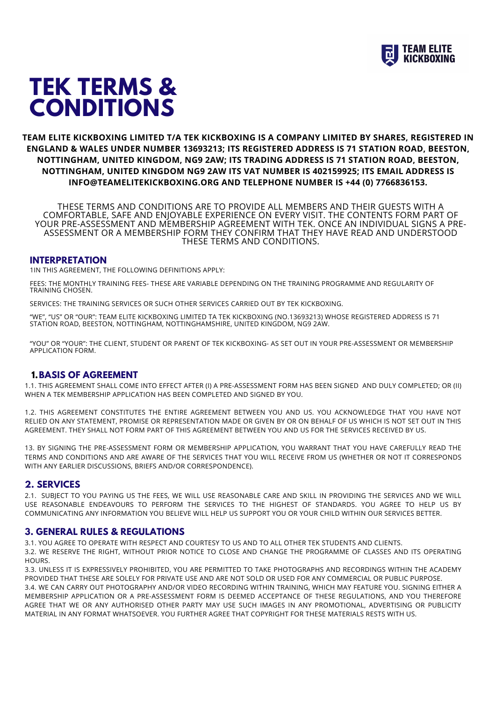

# **TEK TERMS & CONDITIONS**

## **TEAM ELITE KICKBOXING LIMITED T/A TEK KICKBOXING IS A COMPANY LIMITED BY SHARES, REGISTERED IN ENGLAND & WALES UNDER NUMBER 13693213; ITS REGISTERED ADDRESS IS 71 STATION ROAD, BEESTON, NOTTINGHAM, UNITED KINGDOM, NG9 2AW; ITS TRADING ADDRESS IS 71 STATION ROAD, BEESTON, NOTTINGHAM, UNITED KINGDOM NG9 2AW ITS VAT NUMBER IS 402159925; ITS EMAIL ADDRESS IS INFO@TEAMELITEKICKBOXING.ORG AND TELEPHONE NUMBER IS +44 (0) 7766836153.**

THESE TERMS AND CONDITIONS ARE TO PROVIDE ALL MEMBERS AND THEIR GUESTS WITH A COMFORTABLE, SAFE AND ENJOYABLE EXPERIENCE ON EVERY VISIT. THE CONTENTS FORM PART OF YOUR PRE-ASSESSMENT AND MEMBERSHIP AGREEMENT WITH TEK. ONCE AN INDIVIDUAL SIGNS A PRE-ASSESSMENT OR A MEMBERSHIP FORM THEY CONFIRM THAT THEY HAVE READ AND UNDERSTOOD THESE TERMS AND CONDITIONS.

#### **INTERPRETATION**

1IN THIS AGREEMENT, THE FOLLOWING DEFINITIONS APPLY:

FEES: THE MONTHLY TRAINING FEES- THESE ARE VARIABLE DEPENDING ON THE TRAINING PROGRAMME AND REGULARITY OF TRAINING CHOSEN.

SERVICES: THE TRAINING SERVICES OR SUCH OTHER SERVICES CARRIED OUT BY TEK KICKBOXING.

"WE", "US" OR "OUR": TEAM ELITE KICKBOXING LIMITED TA TEK KICKBOXING (NO.13693213) WHOSE REGISTERED ADDRESS IS 71 STATION ROAD, BEESTON, NOTTINGHAM, NOTTINGHAMSHIRE, UNITED KINGDOM, NG9 2AW.

"YOU" OR "YOUR": THE CLIENT, STUDENT OR PARENT OF TEK KICKBOXING- AS SET OUT IN YOUR PRE-ASSESSMENT OR MEMBERSHIP APPLICATION FORM.

#### **1.BASIS OF AGREEMENT**

1.1. THIS AGREEMENT SHALL COME INTO EFFECT AFTER (I) A PRE-ASSESSMENT FORM HAS BEEN SIGNED AND DULY COMPLETED; OR (II) WHEN A TEK MEMBERSHIP APPLICATION HAS BEEN COMPLETED AND SIGNED BY YOU.

1.2. THIS AGREEMENT CONSTITUTES THE ENTIRE AGREEMENT BETWEEN YOU AND US. YOU ACKNOWLEDGE THAT YOU HAVE NOT RELIED ON ANY STATEMENT, PROMISE OR REPRESENTATION MADE OR GIVEN BY OR ON BEHALF OF US WHICH IS NOT SET OUT IN THIS AGREEMENT. THEY SHALL NOT FORM PART OF THIS AGREEMENT BETWEEN YOU AND US FOR THE SERVICES RECEIVED BY US.

13. BY SIGNING THE PRE-ASSESSMENT FORM OR MEMBERSHIP APPLICATION, YOU WARRANT THAT YOU HAVE CAREFULLY READ THE TERMS AND CONDITIONS AND ARE AWARE OF THE SERVICES THAT YOU WILL RECEIVE FROM US (WHETHER OR NOT IT CORRESPONDS WITH ANY EARLIER DISCUSSIONS, BRIEFS AND/OR CORRESPONDENCE).

#### **2. SERVICES**

2.1. SUBJECT TO YOU PAYING US THE FEES, WE WILL USE REASONABLE CARE AND SKILL IN PROVIDING THE SERVICES AND WE WILL USE REASONABLE ENDEAVOURS TO PERFORM THE SERVICES TO THE HIGHEST OF STANDARDS. YOU AGREE TO HELP US BY COMMUNICATING ANY INFORMATION YOU BELIEVE WILL HELP US SUPPORT YOU OR YOUR CHILD WITHIN OUR SERVICES BETTER.

#### **3. GENERAL RULES & REGULATIONS**

3.1. YOU AGREE TO OPERATE WITH RESPECT AND COURTESY TO US AND TO ALL OTHER TEK STUDENTS AND CLIENTS.

3.2. WE RESERVE THE RIGHT, WITHOUT PRIOR NOTICE TO CLOSE AND CHANGE THE PROGRAMME OF CLASSES AND ITS OPERATING HOURS.

3.3. UNLESS IT IS EXPRESSIVELY PROHIBITED, YOU ARE PERMITTED TO TAKE PHOTOGRAPHS AND RECORDINGS WITHIN THE ACADEMY PROVIDED THAT THESE ARE SOLELY FOR PRIVATE USE AND ARE NOT SOLD OR USED FOR ANY COMMERCIAL OR PUBLIC PURPOSE. 3.4. WE CAN CARRY OUT PHOTOGRAPHY AND/OR VIDEO RECORDING WITHIN TRAINING, WHICH MAY FEATURE YOU. SIGNING EITHER A MEMBERSHIP APPLICATION OR A PRE-ASSESSMENT FORM IS DEEMED ACCEPTANCE OF THESE REGULATIONS, AND YOU THEREFORE AGREE THAT WE OR ANY AUTHORISED OTHER PARTY MAY USE SUCH IMAGES IN ANY PROMOTIONAL, ADVERTISING OR PUBLICITY MATERIAL IN ANY FORMAT WHATSOEVER. YOU FURTHER AGREE THAT COPYRIGHT FOR THESE MATERIALS RESTS WITH US.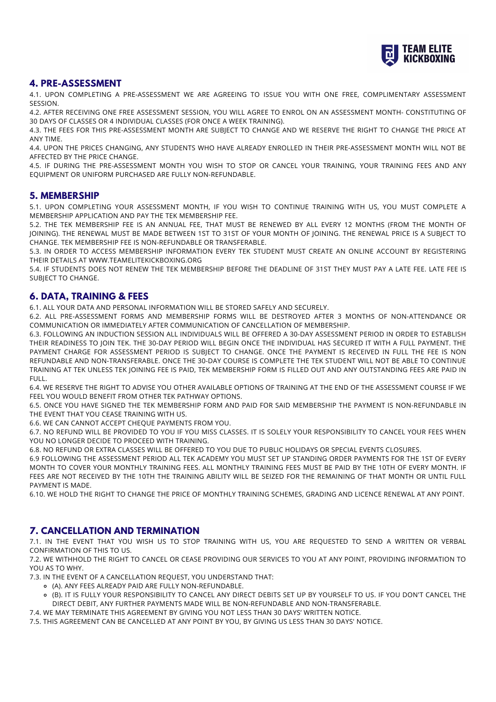

### **4. PRE-ASSESSMENT**

4.1. UPON COMPLETING A PRE-ASSESSMENT WE ARE AGREEING TO ISSUE YOU WITH ONE FREE, COMPLIMENTARY ASSESSMENT SESSION.

4.2. AFTER RECEIVING ONE FREE ASSESSMENT SESSION, YOU WILL AGREE TO ENROL ON AN ASSESSMENT MONTH- CONSTITUTING OF 30 DAYS OF CLASSES OR 4 INDIVIDUAL CLASSES (FOR ONCE A WEEK TRAINING).

4.3. THE FEES FOR THIS PRE-ASSESSMENT MONTH ARE SUBJECT TO CHANGE AND WE RESERVE THE RIGHT TO CHANGE THE PRICE AT ANY TIME.

4.4. UPON THE PRICES CHANGING, ANY STUDENTS WHO HAVE ALREADY ENROLLED IN THEIR PRE-ASSESSMENT MONTH WILL NOT BE AFFECTED BY THE PRICE CHANGE.

4.5. IF DURING THE PRE-ASSESSMENT MONTH YOU WISH TO STOP OR CANCEL YOUR TRAINING, YOUR TRAINING FEES AND ANY EQUIPMENT OR UNIFORM PURCHASED ARE FULLY NON-REFUNDABLE.

#### **5. MEMBERSHIP**

5.1. UPON COMPLETING YOUR ASSESSMENT MONTH, IF YOU WISH TO CONTINUE TRAINING WITH US, YOU MUST COMPLETE A MEMBERSHIP APPLICATION AND PAY THE TEK MEMBERSHIP FEE.

5.2. THE TEK MEMBERSHIP FEE IS AN ANNUAL FEE, THAT MUST BE RENEWED BY ALL EVERY 12 MONTHS (FROM THE MONTH OF JOINING). THE RENEWAL MUST BE MADE BETWEEN 1ST TO 31ST OF YOUR MONTH OF JOINING. THE RENEWAL PRICE IS A SUBJECT TO CHANGE. TEK MEMBERSHIP FEE IS NON-REFUNDABLE OR TRANSFERABLE.

5.3. IN ORDER TO ACCESS MEMBERSHIP INFORMATION EVERY TEK STUDENT MUST CREATE AN ONLINE ACCOUNT BY REGISTERING THEIR DETAILS AT WWW.TEAMELITEKICKBOXING.ORG

5.4. IF STUDENTS DOES NOT RENEW THE TEK MEMBERSHIP BEFORE THE DEADLINE OF 31ST THEY MUST PAY A LATE FEE. LATE FEE IS SUBJECT TO CHANGE.

#### **6. DATA, TRAINING & FEES**

6.1. ALL YOUR DATA AND PERSONAL INFORMATION WILL BE STORED SAFELY AND SECURELY.

6.2. ALL PRE-ASSESSMENT FORMS AND MEMBERSHIP FORMS WILL BE DESTROYED AFTER 3 MONTHS OF NON-ATTENDANCE OR COMMUNICATION OR IMMEDIATELY AFTER COMMUNICATION OF CANCELLATION OF MEMBERSHIP.

6.3. FOLLOWING AN INDUCTION SESSION ALL INDIVIDUALS WILL BE OFFERED A 30-DAY ASSESSMENT PERIOD IN ORDER TO ESTABLISH THEIR READINESS TO JOIN TEK. THE 30-DAY PERIOD WILL BEGIN ONCE THE INDIVIDUAL HAS SECURED IT WITH A FULL PAYMENT. THE PAYMENT CHARGE FOR ASSESSMENT PERIOD IS SUBJECT TO CHANGE. ONCE THE PAYMENT IS RECEIVED IN FULL THE FEE IS NON REFUNDABLE AND NON-TRANSFERABLE. ONCE THE 30-DAY COURSE IS COMPLETE THE TEK STUDENT WILL NOT BE ABLE TO CONTINUE TRAINING AT TEK UNLESS TEK JOINING FEE IS PAID, TEK MEMBERSHIP FORM IS FILLED OUT AND ANY OUTSTANDING FEES ARE PAID IN FULL.

6.4. WE RESERVE THE RIGHT TO ADVISE YOU OTHER AVAILABLE OPTIONS OF TRAINING AT THE END OF THE ASSESSMENT COURSE IF WE FEEL YOU WOULD BENEFIT FROM OTHER TEK PATHWAY OPTIONS.

6.5. ONCE YOU HAVE SIGNED THE TEK MEMBERSHIP FORM AND PAID FOR SAID MEMBERSHIP THE PAYMENT IS NON-REFUNDABLE IN THE EVENT THAT YOU CEASE TRAINING WITH US.

6.6. WE CAN CANNOT ACCEPT CHEQUE PAYMENTS FROM YOU.

6.7. NO REFUND WILL BE PROVIDED TO YOU IF YOU MISS CLASSES. IT IS SOLELY YOUR RESPONSIBILITY TO CANCEL YOUR FEES WHEN YOU NO LONGER DECIDE TO PROCEED WITH TRAINING.

6.8. NO REFUND OR EXTRA CLASSES WILL BE OFFERED TO YOU DUE TO PUBLIC HOLIDAYS OR SPECIAL EVENTS CLOSURES.

6.9 FOLLOWING THE ASSESSMENT PERIOD ALL TEK ACADEMY YOU MUST SET UP STANDING ORDER PAYMENTS FOR THE 1ST OF EVERY MONTH TO COVER YOUR MONTHLY TRAINING FEES. ALL MONTHLY TRAINING FEES MUST BE PAID BY THE 10TH OF EVERY MONTH. IF FEES ARE NOT RECEIVED BY THE 10TH THE TRAINING ABILITY WILL BE SEIZED FOR THE REMAINING OF THAT MONTH OR UNTIL FULL PAYMENT IS MADE.

6.10. WE HOLD THE RIGHT TO CHANGE THE PRICE OF MONTHLY TRAINING SCHEMES, GRADING AND LICENCE RENEWAL AT ANY POINT.

#### **7. CANCELLATION AND TERMINATION**

7.1. IN THE EVENT THAT YOU WISH US TO STOP TRAINING WITH US, YOU ARE REQUESTED TO SEND A WRITTEN OR VERBAL CONFIRMATION OF THIS TO US.

7.2. WE WITHHOLD THE RIGHT TO CANCEL OR CEASE PROVIDING OUR SERVICES TO YOU AT ANY POINT, PROVIDING INFORMATION TO YOU AS TO WHY.

7.3. IN THE EVENT OF A CANCELLATION REQUEST, YOU UNDERSTAND THAT:

- (A). ANY FEES ALREADY PAID ARE FULLY NON-REFUNDABLE.
- (B). IT IS FULLY YOUR RESPONSIBILITY TO CANCEL ANY DIRECT DEBITS SET UP BY YOURSELF TO US. IF YOU DON'T CANCEL THE DIRECT DEBIT, ANY FURTHER PAYMENTS MADE WILL BE NON-REFUNDABLE AND NON-TRANSFERABLE.
- 7.4. WE MAY TERMINATE THIS AGREEMENT BY GIVING YOU NOT LESS THAN 30 DAYS' WRITTEN NOTICE.

7.5. THIS AGREEMENT CAN BE CANCELLED AT ANY POINT BY YOU, BY GIVING US LESS THAN 30 DAYS' NOTICE.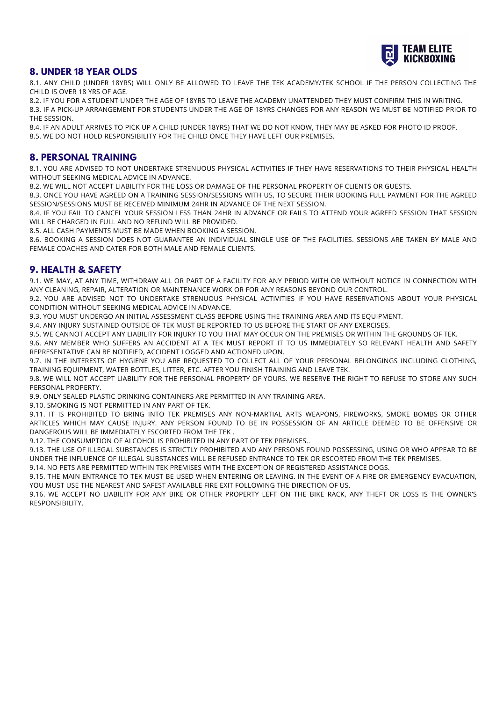

#### **8. UNDER 18 YEAR OLDS**

8.1. ANY CHILD (UNDER 18YRS) WILL ONLY BE ALLOWED TO LEAVE THE TEK ACADEMY/TEK SCHOOL IF THE PERSON COLLECTING THE CHILD IS OVER 18 YRS OF AGE.

8.2. IF YOU FOR A STUDENT UNDER THE AGE OF 18YRS TO LEAVE THE ACADEMY UNATTENDED THEY MUST CONFIRM THIS IN WRITING. 8.3. IF A PICK-UP ARRANGEMENT FOR STUDENTS UNDER THE AGE OF 18YRS CHANGES FOR ANY REASON WE MUST BE NOTIFIED PRIOR TO THE SESSION.

8.4. IF AN ADULT ARRIVES TO PICK UP A CHILD (UNDER 18YRS) THAT WE DO NOT KNOW, THEY MAY BE ASKED FOR PHOTO ID PROOF. 8.5. WE DO NOT HOLD RESPONSIBILITY FOR THE CHILD ONCE THEY HAVE LEFT OUR PREMISES.

#### **8. PERSONAL TRAINING**

8.1. YOU ARE ADVISED TO NOT UNDERTAKE STRENUOUS PHYSICAL ACTIVITIES IF THEY HAVE RESERVATIONS TO THEIR PHYSICAL HEALTH WITHOUT SEEKING MEDICAL ADVICE IN ADVANCE.

8.2. WE WILL NOT ACCEPT LIABILITY FOR THE LOSS OR DAMAGE OF THE PERSONAL PROPERTY OF CLIENTS OR GUESTS.

8.3. ONCE YOU HAVE AGREED ON A TRAINING SESSION/SESSIONS WITH US, TO SECURE THEIR BOOKING FULL PAYMENT FOR THE AGREED SESSION/SESSIONS MUST BE RECEIVED MINIMUM 24HR IN ADVANCE OF THE NEXT SESSION.

8.4. IF YOU FAIL TO CANCEL YOUR SESSION LESS THAN 24HR IN ADVANCE OR FAILS TO ATTEND YOUR AGREED SESSION THAT SESSION WILL BE CHARGED IN FULL AND NO REFUND WILL BE PROVIDED.

8.5. ALL CASH PAYMENTS MUST BE MADE WHEN BOOKING A SESSION.

8.6. BOOKING A SESSION DOES NOT GUARANTEE AN INDIVIDUAL SINGLE USE OF THE FACILITIES. SESSIONS ARE TAKEN BY MALE AND FEMALE COACHES AND CATER FOR BOTH MALE AND FEMALE CLIENTS.

## **9. HEALTH & SAFETY**

9.1. WE MAY, AT ANY TIME, WITHDRAW ALL OR PART OF A FACILITY FOR ANY PERIOD WITH OR WITHOUT NOTICE IN CONNECTION WITH ANY CLEANING, REPAIR, ALTERATION OR MAINTENANCE WORK OR FOR ANY REASONS BEYOND OUR CONTROL.

9.2. YOU ARE ADVISED NOT TO UNDERTAKE STRENUOUS PHYSICAL ACTIVITIES IF YOU HAVE RESERVATIONS ABOUT YOUR PHYSICAL CONDITION WITHOUT SEEKING MEDICAL ADVICE IN ADVANCE.

9.3. YOU MUST UNDERGO AN INITIAL ASSESSMENT CLASS BEFORE USING THE TRAINING AREA AND ITS EQUIPMENT.

9.4. ANY INJURY SUSTAINED OUTSIDE OF TEK MUST BE REPORTED TO US BEFORE THE START OF ANY EXERCISES.

9.5. WE CANNOT ACCEPT ANY LIABILITY FOR INJURY TO YOU THAT MAY OCCUR ON THE PREMISES OR WITHIN THE GROUNDS OF TEK. 9.6. ANY MEMBER WHO SUFFERS AN ACCIDENT AT A TEK MUST REPORT IT TO US IMMEDIATELY SO RELEVANT HEALTH AND SAFETY

REPRESENTATIVE CAN BE NOTIFIED, ACCIDENT LOGGED AND ACTIONED UPON.

9.7. IN THE INTERESTS OF HYGIENE YOU ARE REQUESTED TO COLLECT ALL OF YOUR PERSONAL BELONGINGS INCLUDING CLOTHING, TRAINING EQUIPMENT, WATER BOTTLES, LITTER, ETC. AFTER YOU FINISH TRAINING AND LEAVE TEK.

9.8. WE WILL NOT ACCEPT LIABILITY FOR THE PERSONAL PROPERTY OF YOURS. WE RESERVE THE RIGHT TO REFUSE TO STORE ANY SUCH PERSONAL PROPERTY.

9.9. ONLY SEALED PLASTIC DRINKING CONTAINERS ARE PERMITTED IN ANY TRAINING AREA.

9.10. SMOKING IS NOT PERMITTED IN ANY PART OF TEK.

9.11. IT IS PROHIBITED TO BRING INTO TEK PREMISES ANY NON-MARTIAL ARTS WEAPONS, FIREWORKS, SMOKE BOMBS OR OTHER ARTICLES WHICH MAY CAUSE INJURY. ANY PERSON FOUND TO BE IN POSSESSION OF AN ARTICLE DEEMED TO BE OFFENSIVE OR DANGEROUS WILL BE IMMEDIATELY ESCORTED FROM THE TEK .

9.12. THE CONSUMPTION OF ALCOHOL IS PROHIBITED IN ANY PART OF TEK PREMISES..

9.13. THE USE OF ILLEGAL SUBSTANCES IS STRICTLY PROHIBITED AND ANY PERSONS FOUND POSSESSING, USING OR WHO APPEAR TO BE UNDER THE INFLUENCE OF ILLEGAL SUBSTANCES WILL BE REFUSED ENTRANCE TO TEK OR ESCORTED FROM THE TEK PREMISES.

9.14. NO PETS ARE PERMITTED WITHIN TEK PREMISES WITH THE EXCEPTION OF REGISTERED ASSISTANCE DOGS.

9.15. THE MAIN ENTRANCE TO TEK MUST BE USED WHEN ENTERING OR LEAVING. IN THE EVENT OF A FIRE OR EMERGENCY EVACUATION, YOU MUST USE THE NEAREST AND SAFEST AVAILABLE FIRE EXIT FOLLOWING THE DIRECTION OF US.

9.16. WE ACCEPT NO LIABILITY FOR ANY BIKE OR OTHER PROPERTY LEFT ON THE BIKE RACK, ANY THEFT OR LOSS IS THE OWNER'S RESPONSIBILITY.